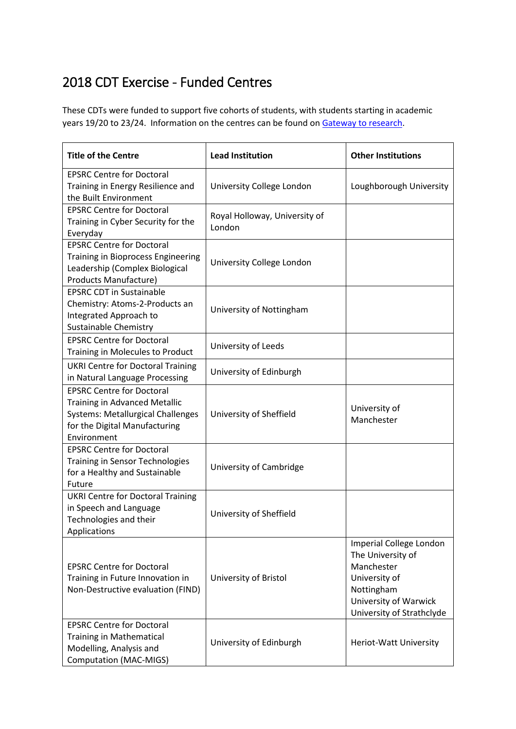## 2018 CDT Exercise - Funded Centres

These CDTs were funded to support five cohorts of students, with students starting in academic years 19/20 to 23/24. Information on the centres can be found o[n Gateway to research.](https://gtr.ukri.org/search/project?term=EPSRC+Centre+for+Doctoral+Training+in+Energy+Resilience+and+the+Built+Environment+)

| <b>Title of the Centre</b>                                                                                                                                    | <b>Lead Institution</b>                 | <b>Other Institutions</b>                                                                                                                              |
|---------------------------------------------------------------------------------------------------------------------------------------------------------------|-----------------------------------------|--------------------------------------------------------------------------------------------------------------------------------------------------------|
| <b>EPSRC Centre for Doctoral</b><br>Training in Energy Resilience and<br>the Built Environment                                                                | University College London               | Loughborough University                                                                                                                                |
| <b>EPSRC Centre for Doctoral</b><br>Training in Cyber Security for the<br>Everyday                                                                            | Royal Holloway, University of<br>London |                                                                                                                                                        |
| <b>EPSRC Centre for Doctoral</b><br>Training in Bioprocess Engineering<br>Leadership (Complex Biological<br>Products Manufacture)                             | University College London               |                                                                                                                                                        |
| <b>EPSRC CDT in Sustainable</b><br>Chemistry: Atoms-2-Products an<br>Integrated Approach to<br>Sustainable Chemistry                                          | University of Nottingham                |                                                                                                                                                        |
| <b>EPSRC Centre for Doctoral</b><br>Training in Molecules to Product                                                                                          | University of Leeds                     |                                                                                                                                                        |
| <b>UKRI Centre for Doctoral Training</b><br>in Natural Language Processing                                                                                    | University of Edinburgh                 |                                                                                                                                                        |
| <b>EPSRC Centre for Doctoral</b><br>Training in Advanced Metallic<br><b>Systems: Metallurgical Challenges</b><br>for the Digital Manufacturing<br>Environment | University of Sheffield                 | University of<br>Manchester                                                                                                                            |
| <b>EPSRC Centre for Doctoral</b><br>Training in Sensor Technologies<br>for a Healthy and Sustainable<br>Future                                                | University of Cambridge                 |                                                                                                                                                        |
| <b>UKRI Centre for Doctoral Training</b><br>in Speech and Language<br>Technologies and their<br>Applications                                                  | University of Sheffield                 |                                                                                                                                                        |
| <b>EPSRC Centre for Doctoral</b><br>Training in Future Innovation in<br>Non-Destructive evaluation (FIND)                                                     | University of Bristol                   | Imperial College London<br>The University of<br>Manchester<br>University of<br>Nottingham<br><b>University of Warwick</b><br>University of Strathclyde |
| <b>EPSRC Centre for Doctoral</b><br><b>Training in Mathematical</b><br>Modelling, Analysis and<br><b>Computation (MAC-MIGS)</b>                               | University of Edinburgh                 | Heriot-Watt University                                                                                                                                 |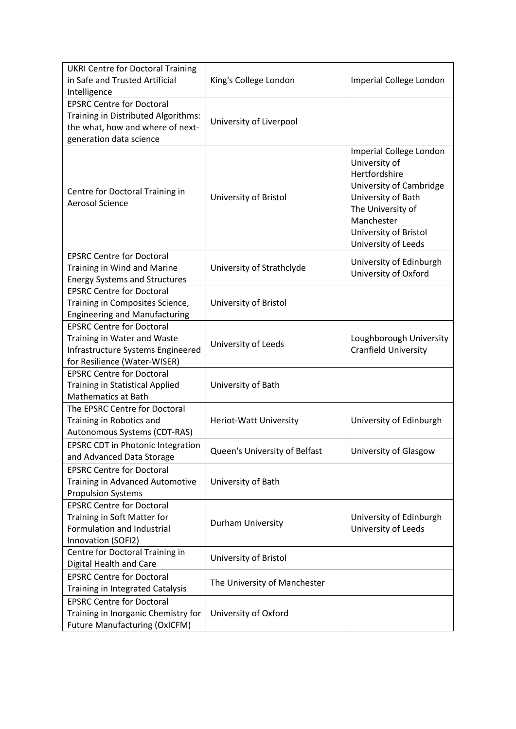| <b>UKRI Centre for Doctoral Training</b><br>in Safe and Trusted Artificial<br>Intelligence                                             | King's College London         | Imperial College London                                                                                                                                                                       |
|----------------------------------------------------------------------------------------------------------------------------------------|-------------------------------|-----------------------------------------------------------------------------------------------------------------------------------------------------------------------------------------------|
| <b>EPSRC Centre for Doctoral</b><br>Training in Distributed Algorithms:<br>the what, how and where of next-<br>generation data science | University of Liverpool       |                                                                                                                                                                                               |
| Centre for Doctoral Training in<br><b>Aerosol Science</b>                                                                              | University of Bristol         | Imperial College London<br>University of<br>Hertfordshire<br>University of Cambridge<br>University of Bath<br>The University of<br>Manchester<br>University of Bristol<br>University of Leeds |
| <b>EPSRC Centre for Doctoral</b><br>Training in Wind and Marine<br><b>Energy Systems and Structures</b>                                | University of Strathclyde     | University of Edinburgh<br>University of Oxford                                                                                                                                               |
| <b>EPSRC Centre for Doctoral</b><br>Training in Composites Science,<br><b>Engineering and Manufacturing</b>                            | University of Bristol         |                                                                                                                                                                                               |
| <b>EPSRC Centre for Doctoral</b><br>Training in Water and Waste<br>Infrastructure Systems Engineered<br>for Resilience (Water-WISER)   | University of Leeds           | Loughborough University<br><b>Cranfield University</b>                                                                                                                                        |
| <b>EPSRC Centre for Doctoral</b><br><b>Training in Statistical Applied</b><br><b>Mathematics at Bath</b>                               | University of Bath            |                                                                                                                                                                                               |
| The EPSRC Centre for Doctoral<br>Training in Robotics and<br>Autonomous Systems (CDT-RAS)                                              | Heriot-Watt University        | University of Edinburgh                                                                                                                                                                       |
| <b>EPSRC CDT in Photonic Integration</b><br>and Advanced Data Storage                                                                  | Queen's University of Belfast | University of Glasgow                                                                                                                                                                         |
| <b>EPSRC Centre for Doctoral</b><br>Training in Advanced Automotive<br><b>Propulsion Systems</b>                                       | University of Bath            |                                                                                                                                                                                               |
| <b>EPSRC Centre for Doctoral</b><br>Training in Soft Matter for<br>Formulation and Industrial<br>Innovation (SOFI2)                    | Durham University             | University of Edinburgh<br>University of Leeds                                                                                                                                                |
| Centre for Doctoral Training in<br>Digital Health and Care                                                                             | University of Bristol         |                                                                                                                                                                                               |
| <b>EPSRC Centre for Doctoral</b><br>Training in Integrated Catalysis                                                                   | The University of Manchester  |                                                                                                                                                                                               |
| <b>EPSRC Centre for Doctoral</b><br>Training in Inorganic Chemistry for<br><b>Future Manufacturing (OxICFM)</b>                        | University of Oxford          |                                                                                                                                                                                               |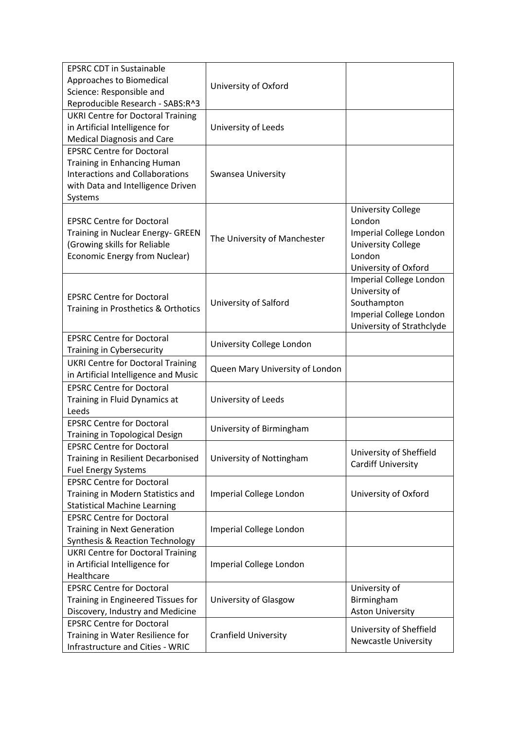| <b>EPSRC CDT in Sustainable</b><br>Approaches to Biomedical                                                                                               |                                 |                                                                                                                               |
|-----------------------------------------------------------------------------------------------------------------------------------------------------------|---------------------------------|-------------------------------------------------------------------------------------------------------------------------------|
| Science: Responsible and<br>Reproducible Research - SABS:R^3                                                                                              | University of Oxford            |                                                                                                                               |
| <b>UKRI Centre for Doctoral Training</b><br>in Artificial Intelligence for<br><b>Medical Diagnosis and Care</b>                                           | University of Leeds             |                                                                                                                               |
| <b>EPSRC Centre for Doctoral</b><br>Training in Enhancing Human<br><b>Interactions and Collaborations</b><br>with Data and Intelligence Driven<br>Systems | Swansea University              |                                                                                                                               |
| <b>EPSRC Centre for Doctoral</b><br>Training in Nuclear Energy- GREEN<br>(Growing skills for Reliable<br><b>Economic Energy from Nuclear)</b>             | The University of Manchester    | <b>University College</b><br>London<br>Imperial College London<br><b>University College</b><br>London<br>University of Oxford |
| <b>EPSRC Centre for Doctoral</b><br>Training in Prosthetics & Orthotics                                                                                   | University of Salford           | Imperial College London<br>University of<br>Southampton<br>Imperial College London<br>University of Strathclyde               |
| <b>EPSRC Centre for Doctoral</b><br>Training in Cybersecurity                                                                                             | University College London       |                                                                                                                               |
| <b>UKRI Centre for Doctoral Training</b><br>in Artificial Intelligence and Music                                                                          | Queen Mary University of London |                                                                                                                               |
| <b>EPSRC Centre for Doctoral</b><br>Training in Fluid Dynamics at<br>Leeds                                                                                | University of Leeds             |                                                                                                                               |
| <b>EPSRC Centre for Doctoral</b><br>Training in Topological Design                                                                                        | University of Birmingham        |                                                                                                                               |
| <b>EPSRC Centre for Doctoral</b><br>Training in Resilient Decarbonised<br><b>Fuel Energy Systems</b>                                                      | University of Nottingham        | University of Sheffield<br><b>Cardiff University</b>                                                                          |
| <b>EPSRC Centre for Doctoral</b><br>Training in Modern Statistics and<br><b>Statistical Machine Learning</b>                                              | Imperial College London         | University of Oxford                                                                                                          |
| <b>EPSRC Centre for Doctoral</b><br><b>Training in Next Generation</b><br><b>Synthesis &amp; Reaction Technology</b>                                      | Imperial College London         |                                                                                                                               |
| <b>UKRI Centre for Doctoral Training</b><br>in Artificial Intelligence for<br>Healthcare                                                                  | Imperial College London         |                                                                                                                               |
| <b>EPSRC Centre for Doctoral</b><br>Training in Engineered Tissues for<br>Discovery, Industry and Medicine                                                | University of Glasgow           | University of<br>Birmingham<br><b>Aston University</b>                                                                        |
| <b>EPSRC Centre for Doctoral</b><br>Training in Water Resilience for<br><b>Infrastructure and Cities - WRIC</b>                                           | <b>Cranfield University</b>     | University of Sheffield<br><b>Newcastle University</b>                                                                        |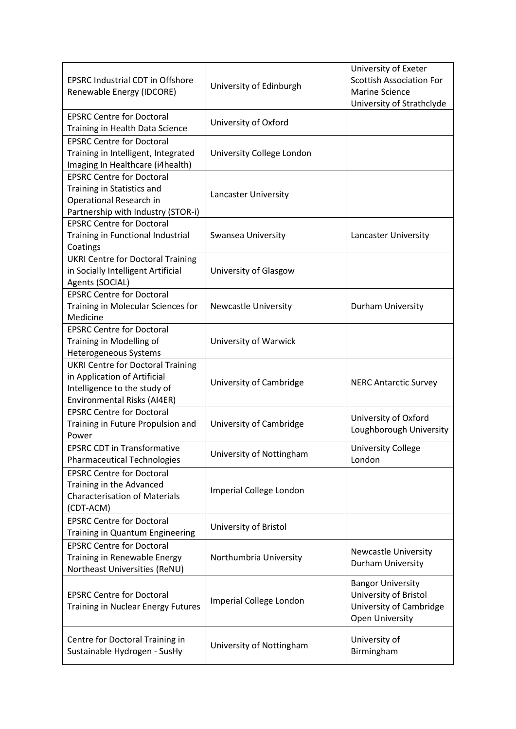| <b>EPSRC Industrial CDT in Offshore</b><br>Renewable Energy (IDCORE)                                                                    | University of Edinburgh     | University of Exeter<br><b>Scottish Association For</b><br><b>Marine Science</b><br>University of Strathclyde |
|-----------------------------------------------------------------------------------------------------------------------------------------|-----------------------------|---------------------------------------------------------------------------------------------------------------|
| <b>EPSRC Centre for Doctoral</b><br>Training in Health Data Science                                                                     | University of Oxford        |                                                                                                               |
| <b>EPSRC Centre for Doctoral</b><br>Training in Intelligent, Integrated<br>Imaging In Healthcare (i4health)                             | University College London   |                                                                                                               |
| <b>EPSRC Centre for Doctoral</b><br>Training in Statistics and<br>Operational Research in<br>Partnership with Industry (STOR-i)         | Lancaster University        |                                                                                                               |
| <b>EPSRC Centre for Doctoral</b><br>Training in Functional Industrial<br>Coatings                                                       | Swansea University          | Lancaster University                                                                                          |
| <b>UKRI Centre for Doctoral Training</b><br>in Socially Intelligent Artificial<br>Agents (SOCIAL)                                       | University of Glasgow       |                                                                                                               |
| <b>EPSRC Centre for Doctoral</b><br>Training in Molecular Sciences for<br>Medicine                                                      | <b>Newcastle University</b> | Durham University                                                                                             |
| <b>EPSRC Centre for Doctoral</b><br>Training in Modelling of<br>Heterogeneous Systems                                                   | University of Warwick       |                                                                                                               |
| <b>UKRI Centre for Doctoral Training</b><br>in Application of Artificial<br>Intelligence to the study of<br>Environmental Risks (AI4ER) | University of Cambridge     | <b>NERC Antarctic Survey</b>                                                                                  |
| <b>EPSRC Centre for Doctoral</b><br>Training in Future Propulsion and<br>Power                                                          | University of Cambridge     | University of Oxford<br>Loughborough University                                                               |
| <b>EPSRC CDT in Transformative</b><br><b>Pharmaceutical Technologies</b>                                                                | University of Nottingham    | <b>University College</b><br>London                                                                           |
| <b>EPSRC Centre for Doctoral</b><br>Training in the Advanced<br><b>Characterisation of Materials</b><br>(CDT-ACM)                       | Imperial College London     |                                                                                                               |
| <b>EPSRC Centre for Doctoral</b><br>Training in Quantum Engineering                                                                     | University of Bristol       |                                                                                                               |
| <b>EPSRC Centre for Doctoral</b><br>Training in Renewable Energy<br>Northeast Universities (ReNU)                                       | Northumbria University      | <b>Newcastle University</b><br>Durham University                                                              |
| <b>EPSRC Centre for Doctoral</b><br>Training in Nuclear Energy Futures                                                                  | Imperial College London     | <b>Bangor University</b><br>University of Bristol<br>University of Cambridge<br><b>Open University</b>        |
| Centre for Doctoral Training in<br>Sustainable Hydrogen - SusHy                                                                         | University of Nottingham    | University of<br>Birmingham                                                                                   |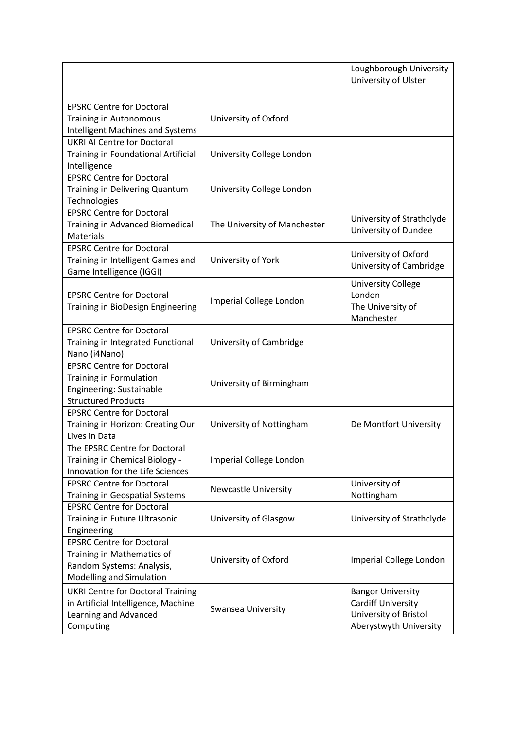|                                                                                                                              |                              | Loughborough University<br>University of Ulster                                                   |
|------------------------------------------------------------------------------------------------------------------------------|------------------------------|---------------------------------------------------------------------------------------------------|
| <b>EPSRC Centre for Doctoral</b><br><b>Training in Autonomous</b><br>Intelligent Machines and Systems                        | University of Oxford         |                                                                                                   |
| <b>UKRI AI Centre for Doctoral</b><br>Training in Foundational Artificial<br>Intelligence                                    | University College London    |                                                                                                   |
| <b>EPSRC Centre for Doctoral</b><br>Training in Delivering Quantum<br>Technologies                                           | University College London    |                                                                                                   |
| <b>EPSRC Centre for Doctoral</b><br>Training in Advanced Biomedical<br><b>Materials</b>                                      | The University of Manchester | University of Strathclyde<br>University of Dundee                                                 |
| <b>EPSRC Centre for Doctoral</b><br>Training in Intelligent Games and<br>Game Intelligence (IGGI)                            | University of York           | University of Oxford<br>University of Cambridge                                                   |
| <b>EPSRC Centre for Doctoral</b><br>Training in BioDesign Engineering                                                        | Imperial College London      | <b>University College</b><br>London<br>The University of<br>Manchester                            |
| <b>EPSRC Centre for Doctoral</b><br>Training in Integrated Functional<br>Nano (i4Nano)                                       | University of Cambridge      |                                                                                                   |
| <b>EPSRC Centre for Doctoral</b><br><b>Training in Formulation</b><br>Engineering: Sustainable<br><b>Structured Products</b> | University of Birmingham     |                                                                                                   |
| <b>EPSRC Centre for Doctoral</b><br>Training in Horizon: Creating Our<br>Lives in Data                                       | University of Nottingham     | De Montfort University                                                                            |
| The EPSRC Centre for Doctoral<br>Training in Chemical Biology -<br>Innovation for the Life Sciences                          | Imperial College London      |                                                                                                   |
| <b>EPSRC Centre for Doctoral</b><br>Training in Geospatial Systems                                                           | <b>Newcastle University</b>  | University of<br>Nottingham                                                                       |
| <b>EPSRC Centre for Doctoral</b><br>Training in Future Ultrasonic<br>Engineering                                             | University of Glasgow        | University of Strathclyde                                                                         |
| <b>EPSRC Centre for Doctoral</b><br>Training in Mathematics of<br>Random Systems: Analysis,<br>Modelling and Simulation      | University of Oxford         | Imperial College London                                                                           |
| <b>UKRI Centre for Doctoral Training</b><br>in Artificial Intelligence, Machine<br>Learning and Advanced<br>Computing        | Swansea University           | <b>Bangor University</b><br>Cardiff University<br>University of Bristol<br>Aberystwyth University |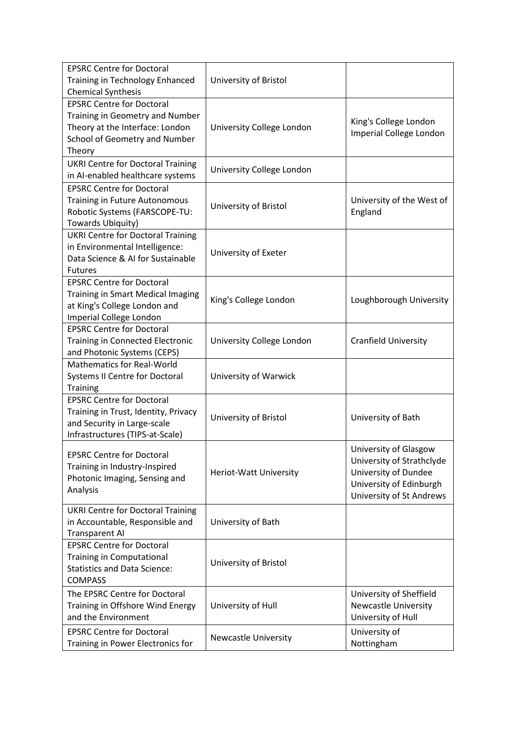| <b>EPSRC Centre for Doctoral</b>         |                             |                             |
|------------------------------------------|-----------------------------|-----------------------------|
| Training in Technology Enhanced          | University of Bristol       |                             |
| <b>Chemical Synthesis</b>                |                             |                             |
| <b>EPSRC Centre for Doctoral</b>         |                             |                             |
| Training in Geometry and Number          |                             | King's College London       |
| Theory at the Interface: London          | University College London   | Imperial College London     |
| School of Geometry and Number            |                             |                             |
| Theory                                   |                             |                             |
| <b>UKRI Centre for Doctoral Training</b> | University College London   |                             |
| in AI-enabled healthcare systems         |                             |                             |
| <b>EPSRC Centre for Doctoral</b>         |                             |                             |
| Training in Future Autonomous            | University of Bristol       | University of the West of   |
| Robotic Systems (FARSCOPE-TU:            |                             | England                     |
| Towards Ubiquity)                        |                             |                             |
| <b>UKRI Centre for Doctoral Training</b> |                             |                             |
| in Environmental Intelligence:           | University of Exeter        |                             |
| Data Science & AI for Sustainable        |                             |                             |
| <b>Futures</b>                           |                             |                             |
| <b>EPSRC Centre for Doctoral</b>         |                             |                             |
| Training in Smart Medical Imaging        | King's College London       | Loughborough University     |
| at King's College London and             |                             |                             |
| Imperial College London                  |                             |                             |
| <b>EPSRC Centre for Doctoral</b>         |                             |                             |
| Training in Connected Electronic         | University College London   | <b>Cranfield University</b> |
| and Photonic Systems (CEPS)              |                             |                             |
| <b>Mathematics for Real-World</b>        |                             |                             |
| Systems II Centre for Doctoral           | University of Warwick       |                             |
| Training                                 |                             |                             |
| <b>EPSRC Centre for Doctoral</b>         |                             |                             |
| Training in Trust, Identity, Privacy     | University of Bristol       | University of Bath          |
| and Security in Large-scale              |                             |                             |
| Infrastructures (TIPS-at-Scale)          |                             |                             |
| <b>EPSRC Centre for Doctoral</b>         |                             | University of Glasgow       |
| Training in Industry-Inspired            |                             | University of Strathclyde   |
| Photonic Imaging, Sensing and            | Heriot-Watt University      | University of Dundee        |
| Analysis                                 |                             | University of Edinburgh     |
|                                          |                             | University of St Andrews    |
| <b>UKRI Centre for Doctoral Training</b> |                             |                             |
| in Accountable, Responsible and          | University of Bath          |                             |
| <b>Transparent AI</b>                    |                             |                             |
| <b>EPSRC Centre for Doctoral</b>         |                             |                             |
| <b>Training in Computational</b>         |                             |                             |
| <b>Statistics and Data Science:</b>      | University of Bristol       |                             |
| <b>COMPASS</b>                           |                             |                             |
| The EPSRC Centre for Doctoral            |                             | University of Sheffield     |
| Training in Offshore Wind Energy         | University of Hull          | <b>Newcastle University</b> |
| and the Environment                      |                             | University of Hull          |
| <b>EPSRC Centre for Doctoral</b>         |                             | University of               |
| Training in Power Electronics for        | <b>Newcastle University</b> | Nottingham                  |
|                                          |                             |                             |